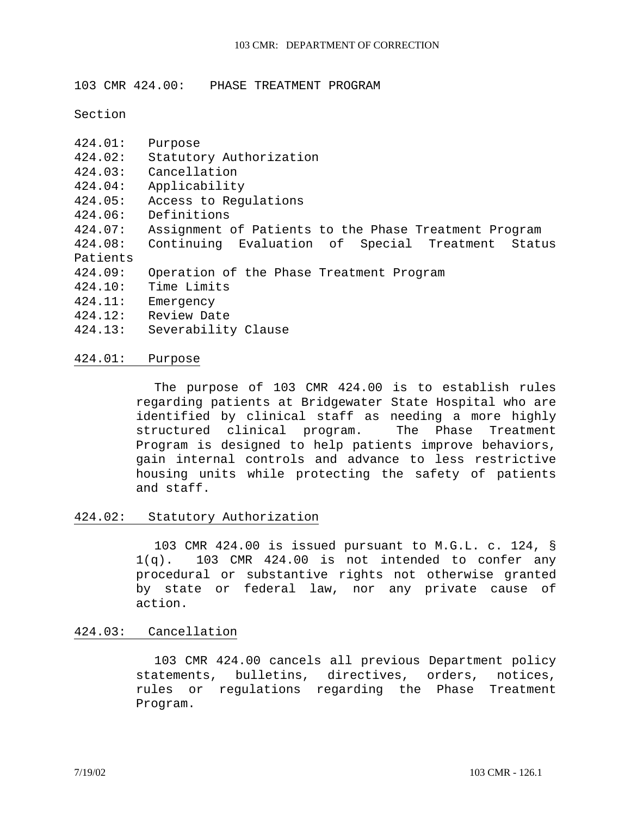103 CMR 424.00: PHASE TREATMENT PROGRAM

Section

- 424.01: Purpose
- 424.02: Statutory Authorization
- 424.03: Cancellation
- 424.04: Applicability
- 424.05: Access to Regulations
- 424.06: Definitions
- 424.07: Assignment of Patients to the Phase Treatment Program
- 424.08: Continuing Evaluation of Special Treatment Status Patients
- 424.09: Operation of the Phase Treatment Program
- 424.10: Time Limits
- 424.11: Emergency
- 424.12: Review Date
- 424.13: Severability Clause

### 424.01: Purpose

The purpose of 103 CMR 424.00 is to establish rules regarding patients at Bridgewater State Hospital who are identified by clinical staff as needing a more highly structured clinical program. The Phase Treatment Program is designed to help patients improve behaviors, gain internal controls and advance to less restrictive housing units while protecting the safety of patients and staff.

#### 424.02: Statutory Authorization

103 CMR 424.00 is issued pursuant to M.G.L. c. 124, § 1(q). 103 CMR 424.00 is not intended to confer any procedural or substantive rights not otherwise granted by state or federal law, nor any private cause of action.

## 424.03: Cancellation

103 CMR 424.00 cancels all previous Department policy statements, bulletins, directives, orders, notices, rules or regulations regarding the Phase Treatment Program.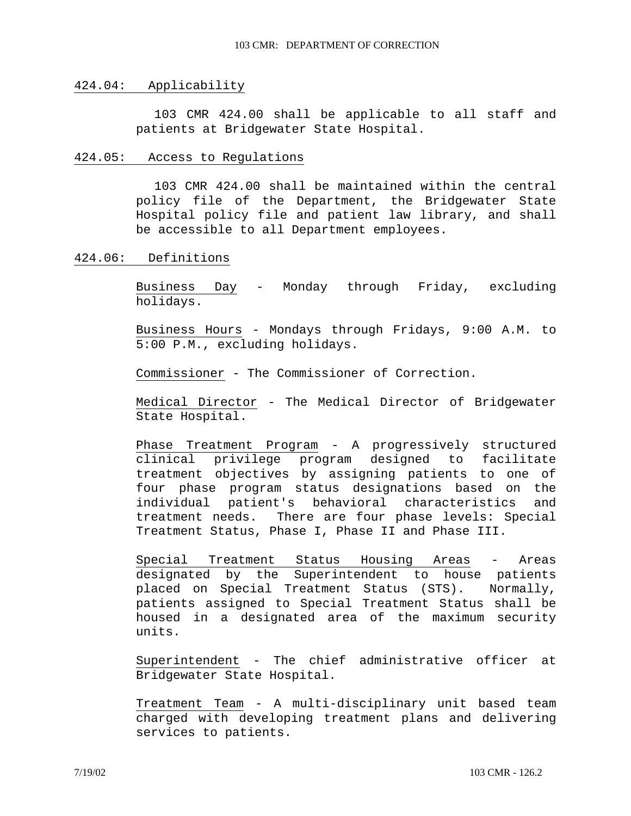#### 424.04: Applicability

103 CMR 424.00 shall be applicable to all staff and patients at Bridgewater State Hospital.

### 424.05: Access to Regulations

103 CMR 424.00 shall be maintained within the central policy file of the Department, the Bridgewater State Hospital policy file and patient law library, and shall be accessible to all Department employees.

### 424.06: Definitions

Business Day - Monday through Friday, excluding holidays.

Business Hours - Mondays through Fridays, 9:00 A.M. to 5:00 P.M., excluding holidays.

Commissioner - The Commissioner of Correction.

Medical Director - The Medical Director of Bridgewater State Hospital.

Phase Treatment Program - A progressively structured clinical privilege program designed to facilitate treatment objectives by assigning patients to one of four phase program status designations based on the individual patient's behavioral characteristics and treatment needs. There are four phase levels: Special Treatment Status, Phase I, Phase II and Phase III.

Special Treatment Status Housing Areas - Areas designated by the Superintendent to house patients placed on Special Treatment Status (STS). Normally, patients assigned to Special Treatment Status shall be housed in a designated area of the maximum security units.

Superintendent - The chief administrative officer at Bridgewater State Hospital.

Treatment Team - A multi-disciplinary unit based team charged with developing treatment plans and delivering services to patients.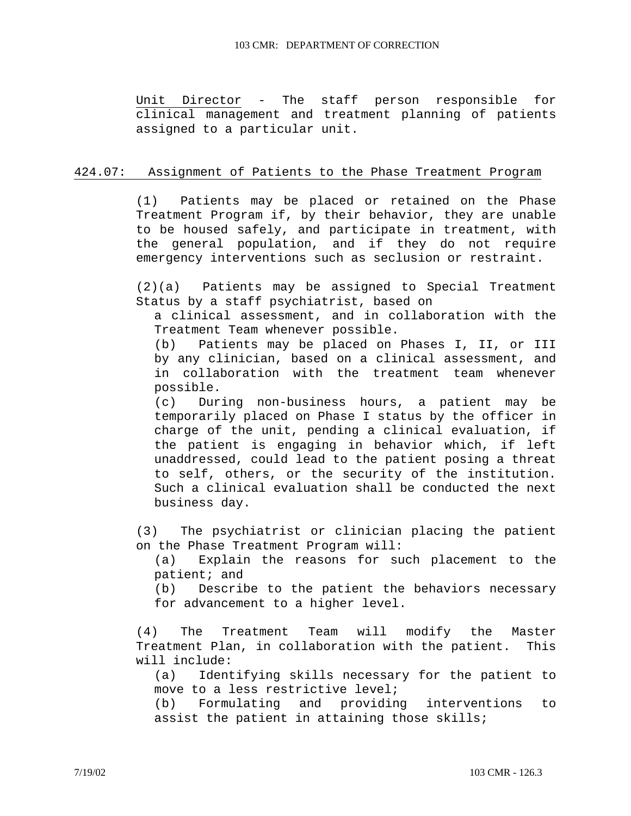Unit Director - The staff person responsible for clinical management and treatment planning of patients assigned to a particular unit.

# 424.07: Assignment of Patients to the Phase Treatment Program

(1) Patients may be placed or retained on the Phase Treatment Program if, by their behavior, they are unable to be housed safely, and participate in treatment, with the general population, and if they do not require emergency interventions such as seclusion or restraint.

(2)(a) Patients may be assigned to Special Treatment Status by a staff psychiatrist, based on

a clinical assessment, and in collaboration with the Treatment Team whenever possible.

(b) Patients may be placed on Phases I, II, or III by any clinician, based on a clinical assessment, and in collaboration with the treatment team whenever possible.

(c) During non-business hours, a patient may be temporarily placed on Phase I status by the officer in charge of the unit, pending a clinical evaluation, if the patient is engaging in behavior which, if left unaddressed, could lead to the patient posing a threat to self, others, or the security of the institution. Such a clinical evaluation shall be conducted the next business day.

(3) The psychiatrist or clinician placing the patient on the Phase Treatment Program will:

(a) Explain the reasons for such placement to the patient; and

(b) Describe to the patient the behaviors necessary for advancement to a higher level.

(4) The Treatment Team will modify the Master Treatment Plan, in collaboration with the patient. This will include:

(a) Identifying skills necessary for the patient to move to a less restrictive level;

(b) Formulating and providing interventions to assist the patient in attaining those skills;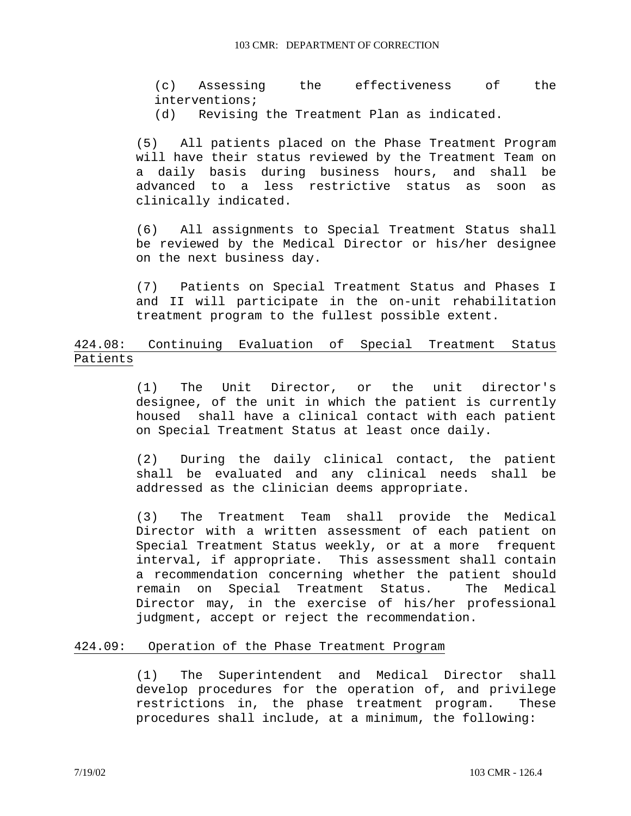(c) Assessing the effectiveness of the interventions; (d) Revising the Treatment Plan as indicated.

(5) All patients placed on the Phase Treatment Program will have their status reviewed by the Treatment Team on a daily basis during business hours, and shall be advanced to a less restrictive status as soon as clinically indicated.

(6) All assignments to Special Treatment Status shall be reviewed by the Medical Director or his/her designee on the next business day.

(7) Patients on Special Treatment Status and Phases I and II will participate in the on-unit rehabilitation treatment program to the fullest possible extent.

# 424.08: Continuing Evaluation of Special Treatment Status Patients

(1) The Unit Director, or the unit director's designee, of the unit in which the patient is currently housed shall have a clinical contact with each patient on Special Treatment Status at least once daily.

(2) During the daily clinical contact, the patient shall be evaluated and any clinical needs shall be addressed as the clinician deems appropriate.

(3) The Treatment Team shall provide the Medical Director with a written assessment of each patient on Special Treatment Status weekly, or at a more frequent interval, if appropriate. This assessment shall contain a recommendation concerning whether the patient should remain on Special Treatment Status. The Medical Director may, in the exercise of his/her professional judgment, accept or reject the recommendation.

## 424.09: Operation of the Phase Treatment Program

(1) The Superintendent and Medical Director shall develop procedures for the operation of, and privilege restrictions in, the phase treatment program. These procedures shall include, at a minimum, the following: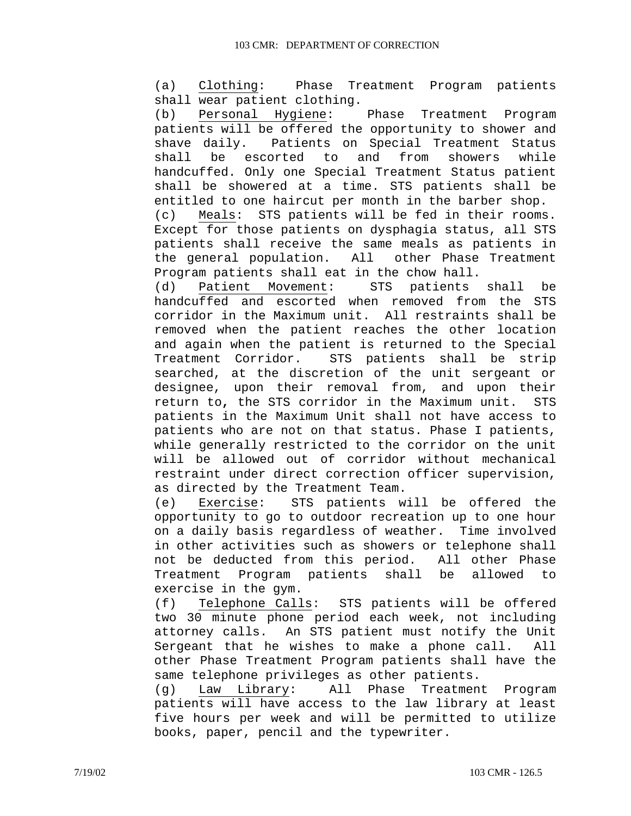(a) Clothing: Phase Treatment Program patients shall wear patient clothing.

(b) Personal Hygiene: Phase Treatment Program patients will be offered the opportunity to shower and shave daily. Patients on Special Treatment Status shall be escorted to and from showers while handcuffed. Only one Special Treatment Status patient shall be showered at a time. STS patients shall be entitled to one haircut per month in the barber shop. (c) Meals: STS patients will be fed in their rooms. Except for those patients on dysphagia status, all STS patients shall receive the same meals as patients in the general population. All other Phase Treatment Program patients shall eat in the chow hall.

(d) Patient Movement: STS patients shall be handcuffed and escorted when removed from the STS corridor in the Maximum unit. All restraints shall be removed when the patient reaches the other location and again when the patient is returned to the Special Treatment Corridor. STS patients shall be strip searched, at the discretion of the unit sergeant or designee, upon their removal from, and upon their return to**,** the STS corridor in the Maximum unit.STS patients in the Maximum Unit shall not have access to patients who are not on that status. Phase I patients, while generally restricted to the corridor on the unit will be allowed out of corridor without mechanical restraint under direct correction officer supervision, as directed by the Treatment Team.

(e) Exercise: STS patients will be offered the opportunity to go to outdoor recreation up to one hour on a daily basis regardless of weather. Time involved in other activities such as showers or telephone shall not be deducted from this period. All other Phase Treatment Program patients shall be allowed to exercise in the gym.

(f) Telephone Calls: STS patients will be offered two 30 minute phone period each week, not including attorney calls. An STS patient must notify the Unit Sergeant that he wishes to make a phone call. All other Phase Treatment Program patients shall have the same telephone privileges as other patients.

(g) Law Library: All Phase Treatment Program patients will have access to the law library at least five hours per week and will be permitted to utilize books, paper, pencil and the typewriter.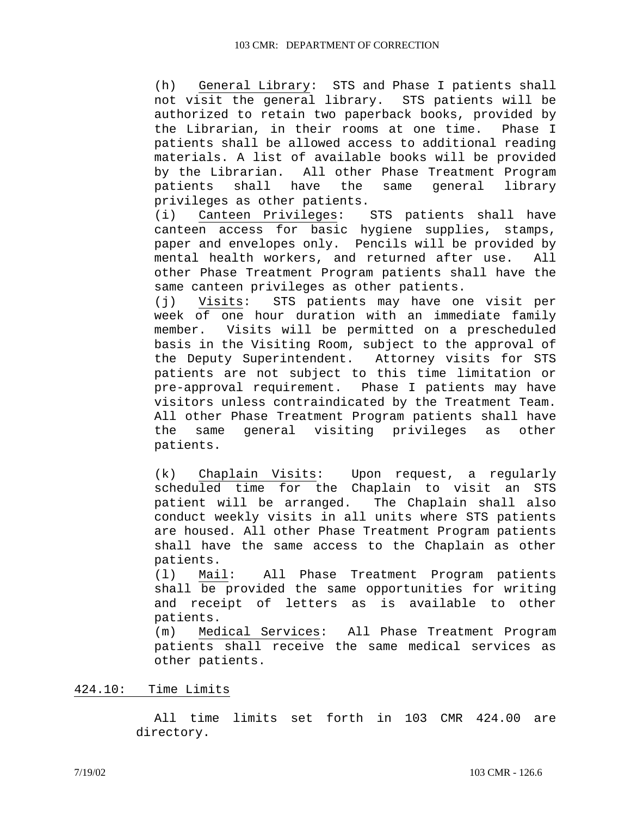(h) General Library: STS and Phase I patients shall not visit the general library. STS patients will be authorized to retain two paperback books, provided by the Librarian, in their rooms at one time. Phase I patients shall be allowed access to additional reading materials. A list of available books will be provided by the Librarian. All other Phase Treatment Program patients shall have the same general library privileges as other patients.

(i) Canteen Privileges: STS patients shall have canteen access for basic hygiene supplies, stamps, paper and envelopes only. Pencils will be provided by mental health workers, and returned after use. All other Phase Treatment Program patients shall have the same canteen privileges as other patients.

(j) Visits: STS patients may have one visit per week of one hour duration with an immediate family member. Visits will be permitted on a prescheduled basis in the Visiting Room, subject to the approval of the Deputy Superintendent. Attorney visits for STS patients are not subject to this time limitation or pre-approval requirement. Phase I patients may have visitors unless contraindicated by the Treatment Team. All other Phase Treatment Program patients shall have the same general visiting privileges as other patients.

(k) Chaplain Visits: Upon request, a regularly scheduled time for the Chaplain to visit an STS patient will be arranged. The Chaplain shall also conduct weekly visits in all units where STS patients are housed. All other Phase Treatment Program patients shall have the same access to the Chaplain as other patients.

(l) Mail: All Phase Treatment Program patients shall be provided the same opportunities for writing and receipt of letters as is available to other patients.

(m) Medical Services: All Phase Treatment Program patients shall receive the same medical services as other patients.

## 424.10: Time Limits

All time limits set forth in 103 CMR 424.00 are directory.